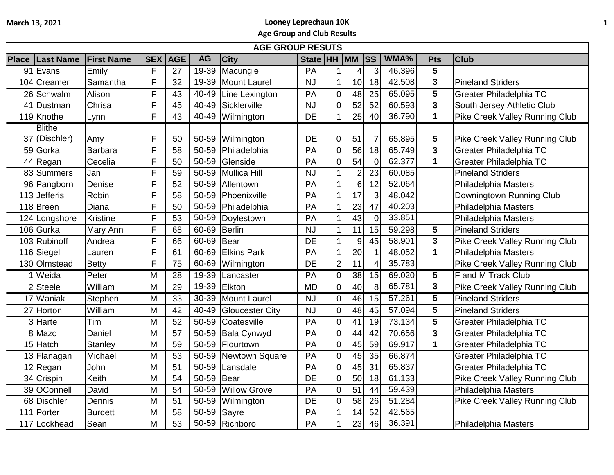## **March 13, 2021 Looney Leprechaun 10K Age Group and Club Results**

|              | <b>AGE GROUP RESUTS</b> |                   |                |            |           |                        |             |                |                  |                |        |             |                                |
|--------------|-------------------------|-------------------|----------------|------------|-----------|------------------------|-------------|----------------|------------------|----------------|--------|-------------|--------------------------------|
| <b>Place</b> | <b>Last Name</b>        | <b>First Name</b> | <b>SEX</b>     | <b>AGE</b> | <b>AG</b> | <b>City</b>            | State HH MM |                |                  | <b>ISS</b>     | WMA%   | <b>Pts</b>  | <b>Club</b>                    |
|              | 91 Evans                | Emily             | F              | 27         | 19-39     | Macungie               | PA          | 1              | 4                | 3              | 46.396 | 5           |                                |
|              | 104 Creamer             | Samantha          | F              | 32         | 19-39     | Mount Laurel           | <b>NJ</b>   | $\mathbf 1$    | 10 <sup>1</sup>  | 18             | 42.508 | 3           | <b>Pineland Striders</b>       |
|              | 26 Schwalm              | Alison            | F              | 43         | 40-49     | Line Lexington         | PA          | $\mathbf 0$    | 48               | 25             | 65.095 | 5           | <b>Greater Philadelphia TC</b> |
|              | 41 Dustman              | Chrisa            | F              | 45         | 40-49     | Sicklerville           | <b>NJ</b>   | $\overline{0}$ | 52               | 52             | 60.593 | 3           | South Jersey Athletic Club     |
|              | 119 Knothe              | Lynn              | F              | 43         | 40-49     | Wilmington             | <b>DE</b>   | $\overline{1}$ | 25               | 40             | 36.790 | 1           | Pike Creek Valley Running Club |
|              | <b>Blithe</b>           |                   |                |            |           |                        |             |                |                  |                |        |             |                                |
|              | 37 (Dischler)           | Amy               | F              | 50         | 50-59     | Wilmington             | DE          | $\pmb{0}$      | 51               | 7              | 65.895 | 5           | Pike Creek Valley Running Club |
|              | 59 Gorka                | <b>Barbara</b>    | $\overline{F}$ | 58         | 50-59     | Philadelphia           | PA          | $\mathbf 0$    | 56               | 18             | 65.749 | 3           | <b>Greater Philadelphia TC</b> |
|              | 44 Regan                | Cecelia           | F              | 50         | 50-59     | Glenside               | PA          | $\mathbf 0$    | 54               | $\overline{0}$ | 62.377 | $\mathbf 1$ | <b>Greater Philadelphia TC</b> |
|              | 83 Summers              | Jan               | F              | 59         | 50-59     | <b>Mullica Hill</b>    | <b>NJ</b>   | $\mathbf{1}$   | $\overline{2}$   | 23             | 60.085 |             | <b>Pineland Striders</b>       |
|              | 96 Pangborn             | Denise            | F              | 52         | 50-59     | Allentown              | PA          | $\mathbf{1}$   | 6                | 12             | 52.064 |             | <b>Philadelphia Masters</b>    |
|              | 113 Jefferis            | Robin             | F              | 58         | 50-59     | Phoenixville           | PA          | $\mathbf{1}$   | 17               | $\mathbf{3}$   | 48.042 |             | Downingtown Running Club       |
|              | 118 Breen               | Diana             | F              | 50         | 50-59     | Philadelphia           | PA          | $\overline{1}$ | 23               | 47             | 40.203 |             | Philadelphia Masters           |
|              | 124 Longshore           | Kristine          | F              | 53         | 50-59     | Doylestown             | PA          | $\overline{1}$ | 43               | $\overline{0}$ | 33.851 |             | Philadelphia Masters           |
|              | 106 Gurka               | Mary Ann          | F              | 68         | 60-69     | <b>Berlin</b>          | <b>NJ</b>   | 1              | 11               | 15             | 59.298 | 5           | <b>Pineland Striders</b>       |
|              | 103 Rubinoff            | Andrea            | F              | 66         | 60-69     | Bear                   | <b>DE</b>   | $\overline{1}$ | $\boldsymbol{9}$ | 45             | 58.901 | 3           | Pike Creek Valley Running Club |
|              | 116 Siegel              | Lauren            | F              | 61         | 60-69     | <b>Elkins Park</b>     | PA          | $\mathbf{1}$   | 20               | $\mathbf{1}$   | 48.052 | 1           | <b>Philadelphia Masters</b>    |
|              | 130 Olmstead            | Betty             | F              | 75         | 60-69     | Wilmington             | DE          | $\overline{2}$ | 11               | 4              | 35.783 |             | Pike Creek Valley Running Club |
|              | 1 Weida                 | Peter             | M              | 28         | 19-39     | Lancaster              | PA          | $\pmb{0}$      | 38               | 15             | 69.020 | 5           | F and M Track Club             |
|              | $2$ Steele              | William           | M              | 29         | 19-39     | Elkton                 | <b>MD</b>   | $\mathbf 0$    | 40 <sup>°</sup>  | 8              | 65.781 | 3           | Pike Creek Valley Running Club |
|              | 17 Waniak               | Stephen           | M              | 33         | 30-39     | Mount Laurel           | <b>NJ</b>   | $\mathbf 0$    | 46               | 15             | 57.261 | 5           | <b>Pineland Striders</b>       |
|              | 27 Horton               | William           | M              | 42         | 40-49     | <b>Gloucester City</b> | <b>NJ</b>   | $\pmb{0}$      | 48               | 45             | 57.094 | 5           | <b>Pineland Striders</b>       |
|              | 3 Harte                 | Tim               | M              | 52         | 50-59     | Coatesville            | PA          | $\pmb{0}$      | 41               | 19             | 73.134 | 5           | Greater Philadelphia TC        |
|              | 8 Mazo                  | Daniel            | M              | 57         | 50-59     | Bala Cynwyd            | PA          | $\mathbf 0$    | 44               | 42             | 70.656 | 3           | <b>Greater Philadelphia TC</b> |
|              | 15 Hatch                | Stanley           | M              | 59         | 50-59     | Flourtown              | PA          | $\mathbf 0$    | 45               | 59             | 69.917 | $\mathbf 1$ | <b>Greater Philadelphia TC</b> |
|              | 13 Flanagan             | Michael           | M              | 53         | 50-59     | Newtown Square         | PA          | $\mathbf 0$    | 45               | 35             | 66.874 |             | Greater Philadelphia TC        |
|              | 12 Regan                | John              | M              | 51         | 50-59     | Lansdale               | PA          | $\mathbf 0$    | 45               | 31             | 65.837 |             | Greater Philadelphia TC        |
|              | 34 Crispin              | Keith             | M              | 54         | 50-59     | Bear                   | DE          | $\mathbf 0$    | 50               | 18             | 61.133 |             | Pike Creek Valley Running Club |
|              | 39 OConnell             | David             | M              | 54         | 50-59     | <b>Willow Grove</b>    | PA          | $\mathbf 0$    | 51               | 44             | 59.439 |             | <b>Philadelphia Masters</b>    |
|              | 68 Dischler             | Dennis            | M              | 51         | 50-59     | Wilmington             | <b>DE</b>   | $\mathsf 0$    | 58               | 26             | 51.284 |             | Pike Creek Valley Running Club |
|              | 111 Porter              | <b>Burdett</b>    | M              | 58         | 50-59     | Sayre                  | PA          | $\mathbf 1$    | 14               | 52             | 42.565 |             |                                |
|              | 117 Lockhead            | Sean              | M              | 53         |           | 50-59 Richboro         | PA          | $\mathbf{1}$   | 23               | 46             | 36.391 |             | Philadelphia Masters           |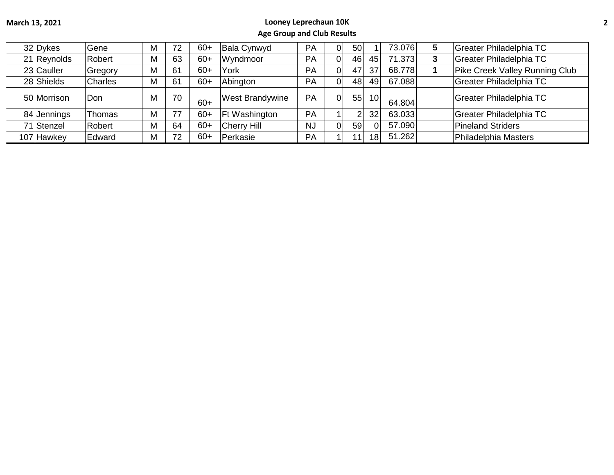## **March 13, 2021 Looney Leprechaun 10K Age Group and Club Results**

| 32 Dykes    | Gene           |   | 72 | $60+$ | Bala Cynwyd            | PA        |                | 50l |                 | 73.076 | 5 | Greater Philadelphia TC               |
|-------------|----------------|---|----|-------|------------------------|-----------|----------------|-----|-----------------|--------|---|---------------------------------------|
| 21 Reynolds | Robert         | M | 63 | $60+$ | Wyndmoor               | PA        | 0              | 46  | 45              | 71.373 |   | Greater Philadelphia TC               |
| 23 Cauller  | Gregory        | M | 61 | $60+$ | York                   | <b>PA</b> |                | 47  | 37              | 68.778 |   | <b>Pike Creek Valley Running Club</b> |
| 28 Shields  | <b>Charles</b> | M | 61 | $60+$ | Abington               | PA        | 01             | 48  | 49              | 67.088 |   | Greater Philadelphia TC               |
| 50 Morrison | Don            | M | 70 | $60+$ | <b>West Brandywine</b> | PA        | 0              | 55  | 10 <sup>1</sup> | 64.804 |   | Greater Philadelphia TC               |
| 84 Jennings | Thomas         | M | 77 | $60+$ | <b>Ft Washington</b>   | PA        |                | ⌒   | 32              | 63.033 |   | Greater Philadelphia TC               |
| 71 Stenzel  | Robert         |   | 64 | $60+$ | <b>Cherry Hill</b>     | <b>NJ</b> | $\overline{0}$ | 59  | $\Omega$        | 57.090 |   | <b>Pineland Striders</b>              |
| 107 Hawkey  | Edward         | M | 72 | $60+$ | Perkasie               | PA        |                |     | 18              | 51.262 |   | Philadelphia Masters                  |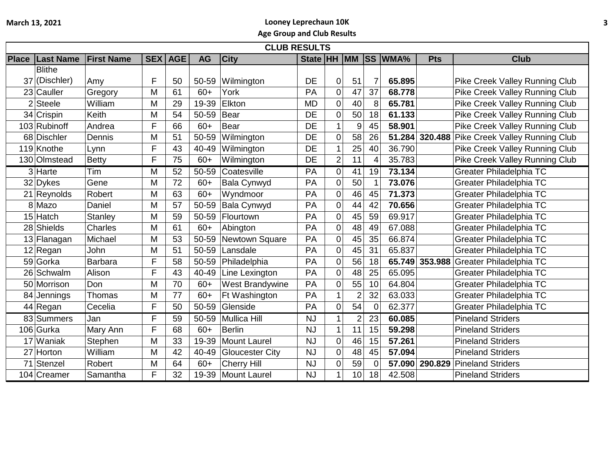## **March 13, 2021 Looney Leprechaun 10K**

**Age Group and Club Results**

|                | <b>CLUB RESULTS</b>         |                |            |            |           |                        |           |                  |                |                |                         |            |                                        |
|----------------|-----------------------------|----------------|------------|------------|-----------|------------------------|-----------|------------------|----------------|----------------|-------------------------|------------|----------------------------------------|
| <b>Place</b>   | <b>Last Name First Name</b> |                | <b>SEX</b> | <b>AGE</b> | <b>AG</b> | <b>City</b>            |           |                  |                |                | State  HH  MM  SS  WMA% | <b>Pts</b> | <b>Club</b>                            |
|                | <b>Blithe</b>               |                |            |            |           |                        |           |                  |                |                |                         |            |                                        |
|                | 37 (Dischler)               | Amy            | F          | 50         | 50-59     | Wilmington             | DE        | 0                | 51             |                | 65.895                  |            | Pike Creek Valley Running Club         |
|                | 23 Cauller                  | Gregory        | M          | 61         | $60+$     | York                   | PA        | $\mathbf 0$      | 47             | 37             | 68.778                  |            | Pike Creek Valley Running Club         |
| $\overline{2}$ | Steele                      | William        | M          | 29         | 19-39     | Elkton                 | <b>MD</b> | $\mathbf 0$      | 40             | 8              | 65.781                  |            | <b>Pike Creek Valley Running Club</b>  |
|                | 34 Crispin                  | Keith          | M          | 54         | 50-59     | <b>Bear</b>            | <b>DE</b> | $\mathbf 0$      | 50             | 18             | 61.133                  |            | Pike Creek Valley Running Club         |
|                | 103 Rubinoff                | Andrea         | F          | 66         | $60+$     | Bear                   | DE        | 1                | 9              | 45             | 58.901                  |            | <b>Pike Creek Valley Running Club</b>  |
|                | 68 Dischler                 | Dennis         | M          | 51         | 50-59     | Wilmington             | <b>DE</b> | $\overline{0}$   | 58             | 26             | 51.284                  |            | 320.488 Pike Creek Valley Running Club |
|                | 119 Knothe                  | Lynn           | F          | 43         | 40-49     | Wilmington             | DE        | 1                | 25             | 40             | 36.790                  |            | Pike Creek Valley Running Club         |
|                | 130 Olmstead                | <b>Betty</b>   | F          | 75         | $60+$     | Wilmington             | <b>DE</b> | $\overline{c}$   | 11             | $\overline{4}$ | 35.783                  |            | Pike Creek Valley Running Club         |
|                | 3 Harte                     | Tim            | M          | 52         | 50-59     | Coatesville            | PA        | $\mathbf 0$      | 41             | 19             | 73.134                  |            | Greater Philadelphia TC                |
|                | 32 Dykes                    | Gene           | M          | 72         | $60+$     | <b>Bala Cynwyd</b>     | PA        | $\boldsymbol{0}$ | 50             |                | 73.076                  |            | Greater Philadelphia TC                |
|                | 21 Reynolds                 | Robert         | M          | 63         | $60+$     | Wyndmoor               | PA        | $\mathbf 0$      | 46             | 45             | 71.373                  |            | Greater Philadelphia TC                |
|                | 8 Mazo                      | Daniel         | M          | 57         | 50-59     | <b>Bala Cynwyd</b>     | PA        | $\mathbf 0$      | 44             | 42             | 70.656                  |            | Greater Philadelphia TC                |
|                | 15 Hatch                    | <b>Stanley</b> | M          | 59         | 50-59     | Flourtown              | PA        | $\mathbf 0$      | 45             | 59             | 69.917                  |            | Greater Philadelphia TC                |
|                | 28 Shields                  | <b>Charles</b> | M          | 61         | $60+$     | Abington               | PA        | $\mathbf 0$      | 48             | 49             | 67.088                  |            | Greater Philadelphia TC                |
|                | 13 Flanagan                 | Michael        | M          | 53         | 50-59     | Newtown Square         | PA        | $\mathbf 0$      | 45             | 35             | 66.874                  |            | Greater Philadelphia TC                |
|                | 12 Regan                    | John           | M          | 51         | 50-59     | Lansdale               | PA        | $\mathbf 0$      | 45             | 31             | 65.837                  |            | Greater Philadelphia TC                |
|                | 59 Gorka                    | <b>Barbara</b> | F          | 58         | 50-59     | Philadelphia           | PA        | $\mathbf 0$      | 56             | 18             |                         |            | 65.749 353.988 Greater Philadelphia TC |
|                | 26 Schwalm                  | Alison         | F          | 43         | 40-49     | Line Lexington         | PA        | $\mathbf 0$      | 48             | 25             | 65.095                  |            | <b>Greater Philadelphia TC</b>         |
|                | 50 Morrison                 | Don            | M          | 70         | $60+$     | <b>West Brandywine</b> | PA        | 0                | 55             | 10             | 64.804                  |            | Greater Philadelphia TC                |
| 84             | Jennings                    | Thomas         | M          | 77         | $60+$     | Ft Washington          | PA        | $\mathbf 1$      | $\overline{2}$ | 32             | 63.033                  |            | Greater Philadelphia TC                |
|                | 44 Regan                    | Cecelia        | F          | 50         | 50-59     | Glenside               | PA        | 0                | 54             | $\Omega$       | 62.377                  |            | Greater Philadelphia TC                |
|                | 83 Summers                  | Jan            | F          | 59         | 50-59     | Mullica Hill           | <b>NJ</b> | $\mathbf 1$      | $\overline{2}$ | 23             | 60.085                  |            | <b>Pineland Striders</b>               |
|                | 106 Gurka                   | Mary Ann       | F          | 68         | $60+$     | <b>Berlin</b>          | <b>NJ</b> | $\mathbf{1}$     | 11             | 15             | 59.298                  |            | <b>Pineland Striders</b>               |
|                | 17 Waniak                   | Stephen        | M          | 33         | 19-39     | <b>Mount Laurel</b>    | <b>NJ</b> | $\overline{0}$   | 46             | 15             | 57.261                  |            | <b>Pineland Striders</b>               |
|                | 27 Horton                   | William        | M          | 42         | 40-49     | <b>Gloucester City</b> | <b>NJ</b> | 0                | 48             | 45             | 57.094                  |            | <b>Pineland Striders</b>               |
| 71             | Stenzel                     | Robert         | M          | 64         | $60+$     | <b>Cherry Hill</b>     | <b>NJ</b> | $\mathbf 0$      | 59             | $\overline{0}$ | 57.090                  |            | 290.829 Pineland Striders              |
|                | 104 Creamer                 | Samantha       | F          | 32         | 19-39     | Mount Laurel           | <b>NJ</b> | 1                | 10             | 18             | 42.508                  |            | <b>Pineland Striders</b>               |